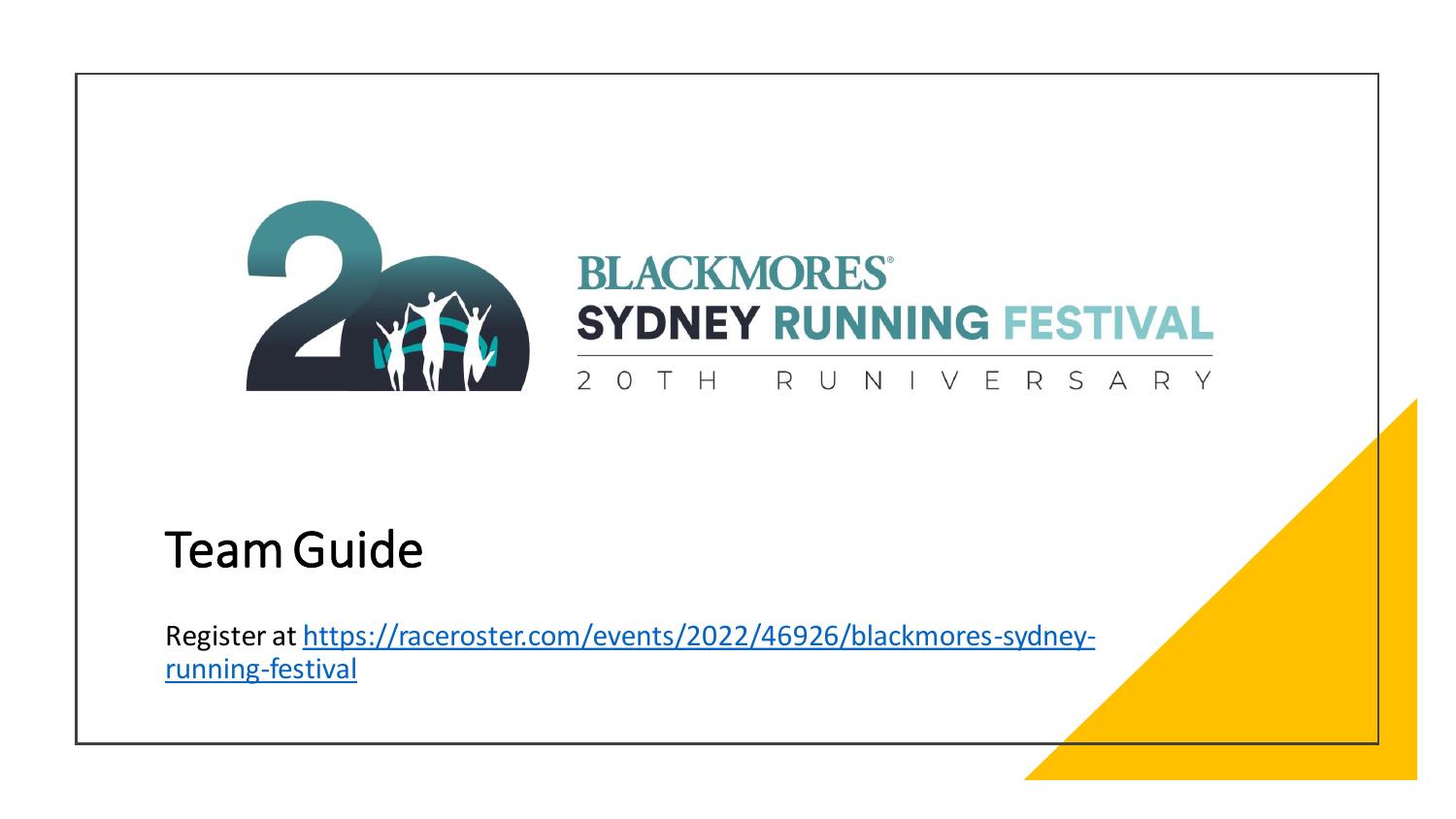

# **BLACKMORES® SYDNEY RUNNING FESTIVAL**

#### $2$  O T H R U VERSARY N

#### Team Guide

[Register at https://raceroster.com/events/2022/46926/blackmores-sydney](https://raceroster.com/events/2022/46926/blackmores-sydney-running-festival)running-festival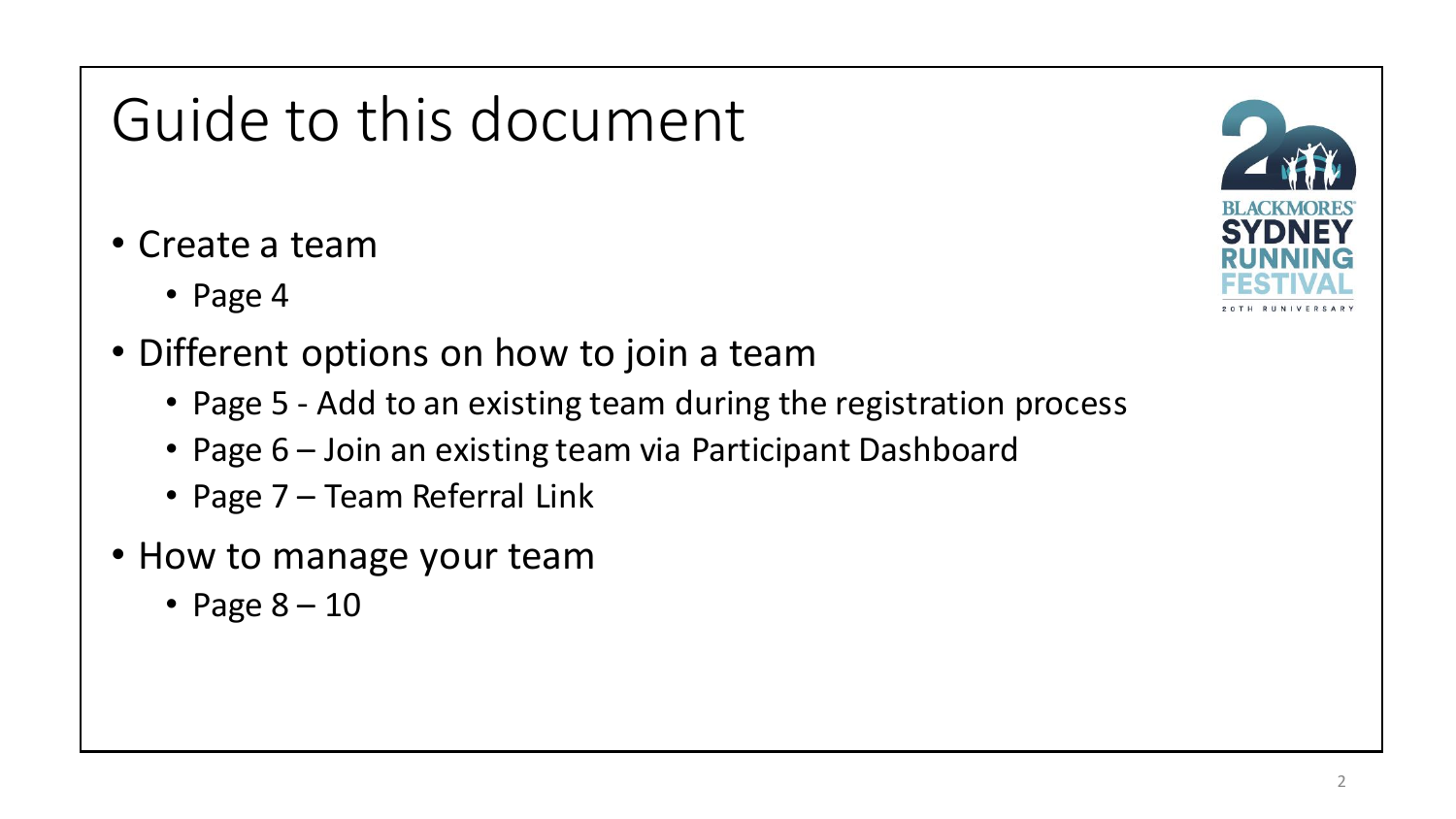# Guide to this document

- Create a team
	- Page 4
- Different options on how to join a team
	- Page 5 Add to an existing team during the registration process
	- Page 6 Join an existing team via Participant Dashboard
	- Page 7 Team Referral Link
- How to manage your team
	- Page  $8 10$

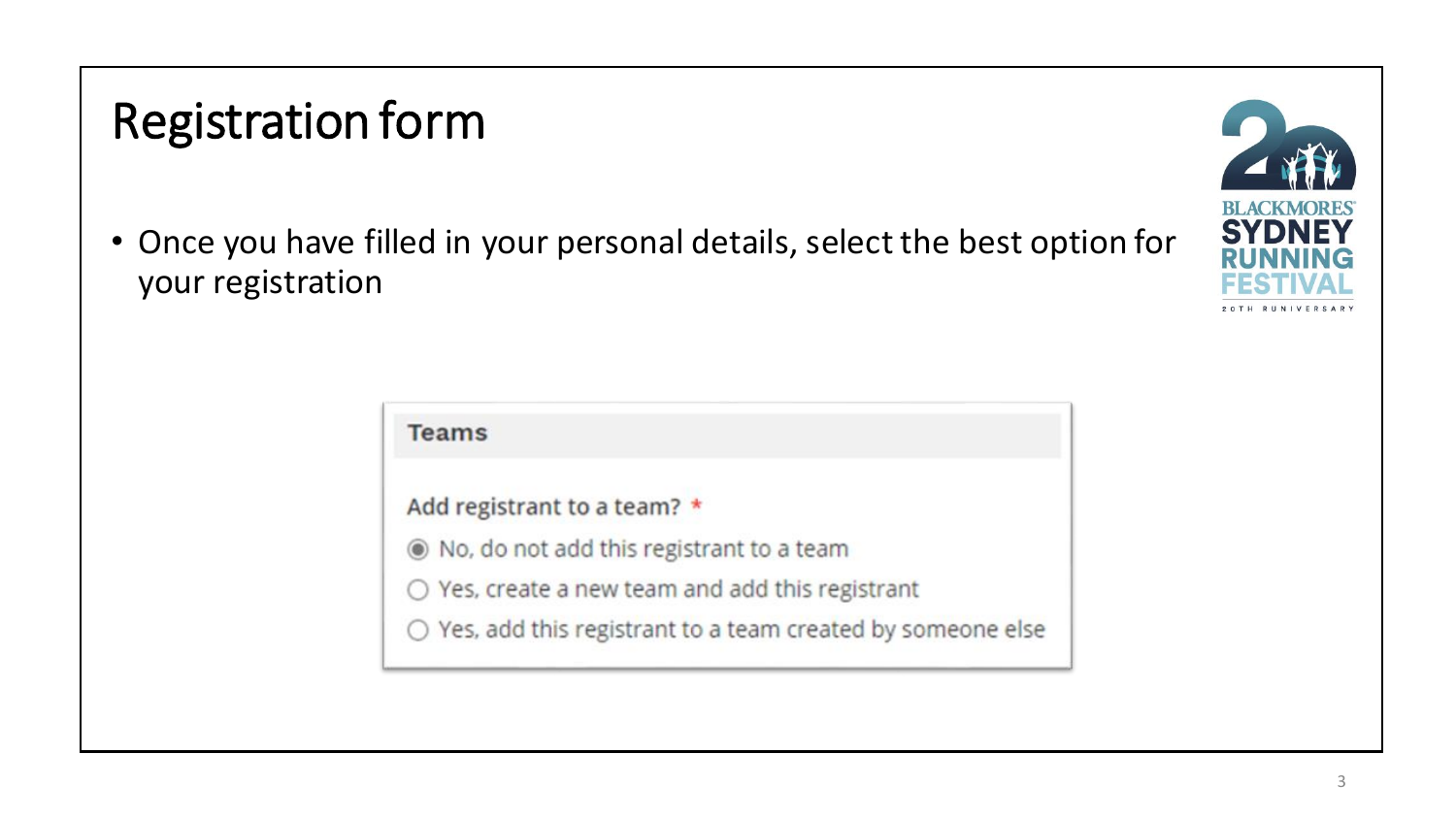# Registration form

• Once you have filled in your personal details, select the best option for your registration



 $\bigcirc$  Yes, add this registrant to a team created by someone else

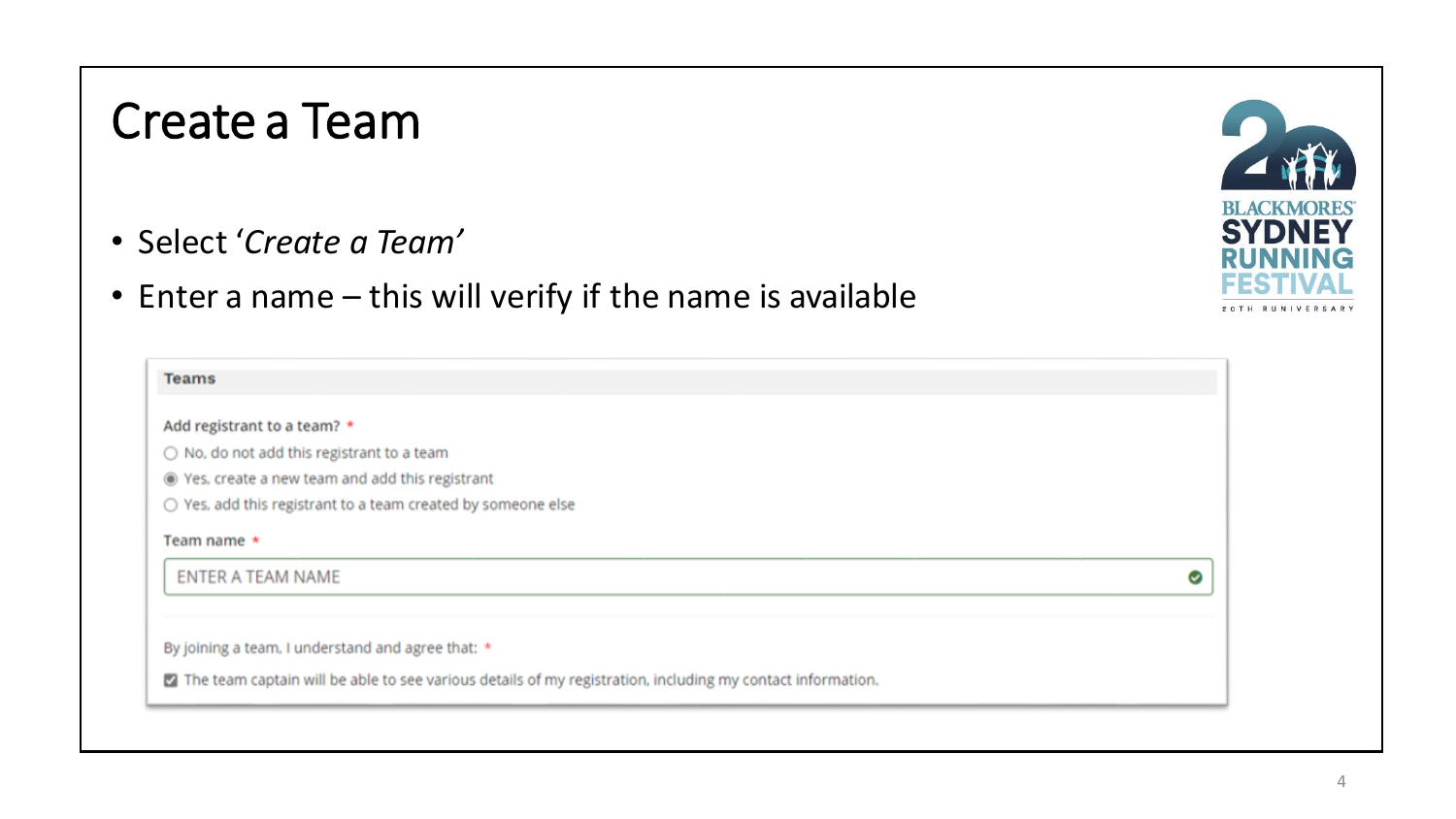#### Create a Team

- Select '*Create a Team'*
- Enter a name this will verify if the name is available

| <b>Teams</b>                                                                                               |   |
|------------------------------------------------------------------------------------------------------------|---|
| Add registrant to a team? *                                                                                |   |
| $\bigcirc$ No, do not add this registrant to a team                                                        |   |
| ◉ Yes, create a new team and add this registrant                                                           |   |
| $\bigcirc$ Yes, add this registrant to a team created by someone else                                      |   |
| Team name *                                                                                                |   |
| <b>ENTER A TEAM NAME</b>                                                                                   | ☺ |
|                                                                                                            |   |
| By joining a team, I understand and agree that: *                                                          |   |
| The team captain will be able to see various details of my registration, including my contact information. |   |

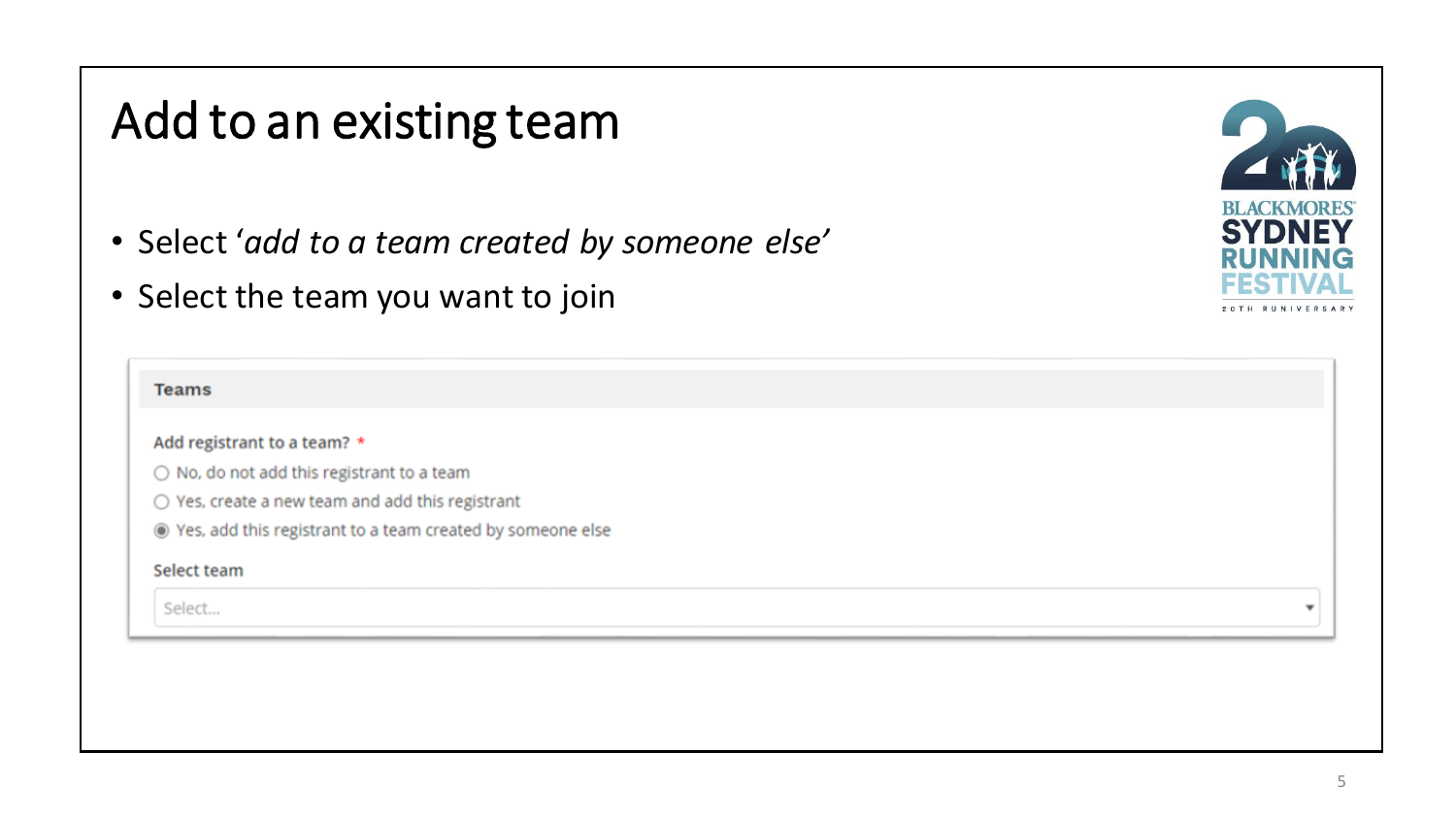### Add to an existing team

- Select '*add to a team created by someone else'*
- Select the team you want to join

| <b>Teams</b>                                                 |                          |
|--------------------------------------------------------------|--------------------------|
| Add registrant to a team? *                                  |                          |
| $\bigcirc$ No, do not add this registrant to a team          |                          |
| $\bigcirc$ Yes, create a new team and add this registrant    |                          |
| ◉ Yes, add this registrant to a team created by someone else |                          |
| Select team                                                  |                          |
| Select                                                       | $\overline{\phantom{a}}$ |
|                                                              |                          |

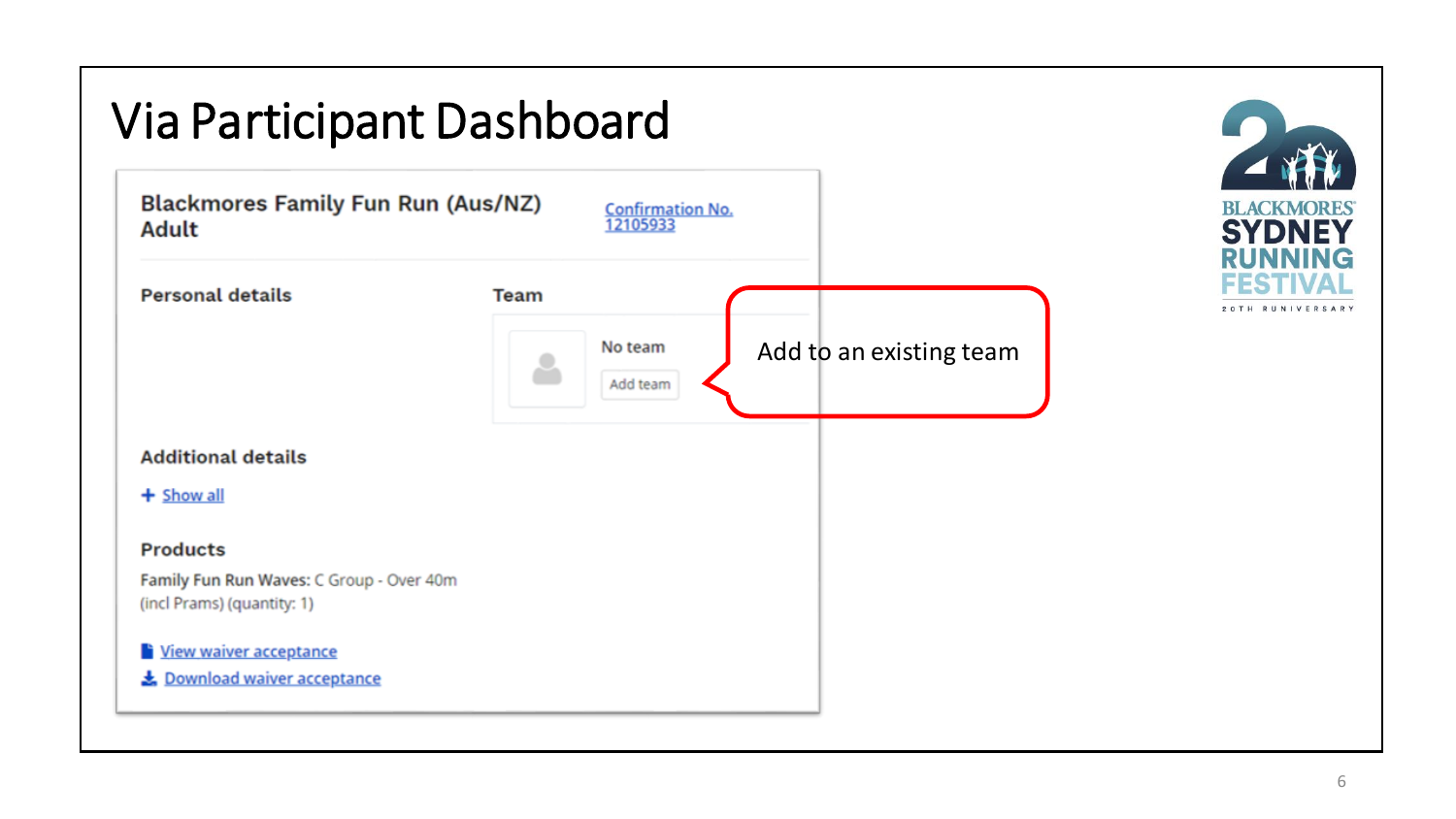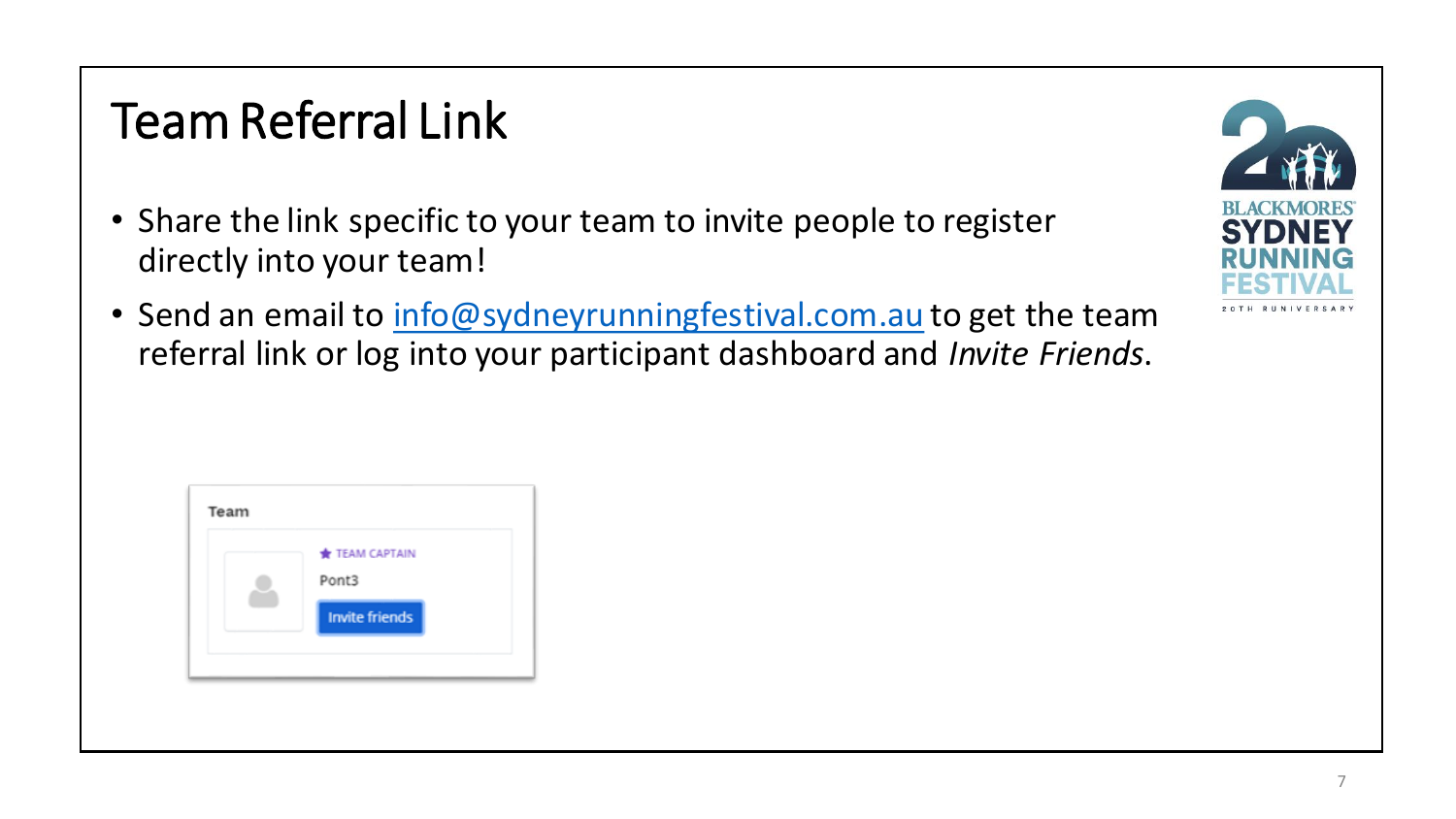# Team Referral Link

- Share the link specific to your team to invite people to register directly into your team!
- Send an email to [info@sydneyrunningfestival.com.au](mailto:info@sydneyrunningfestival.com.au) to get the team referral link or log into your participant dashboard and *Invite Friends*.



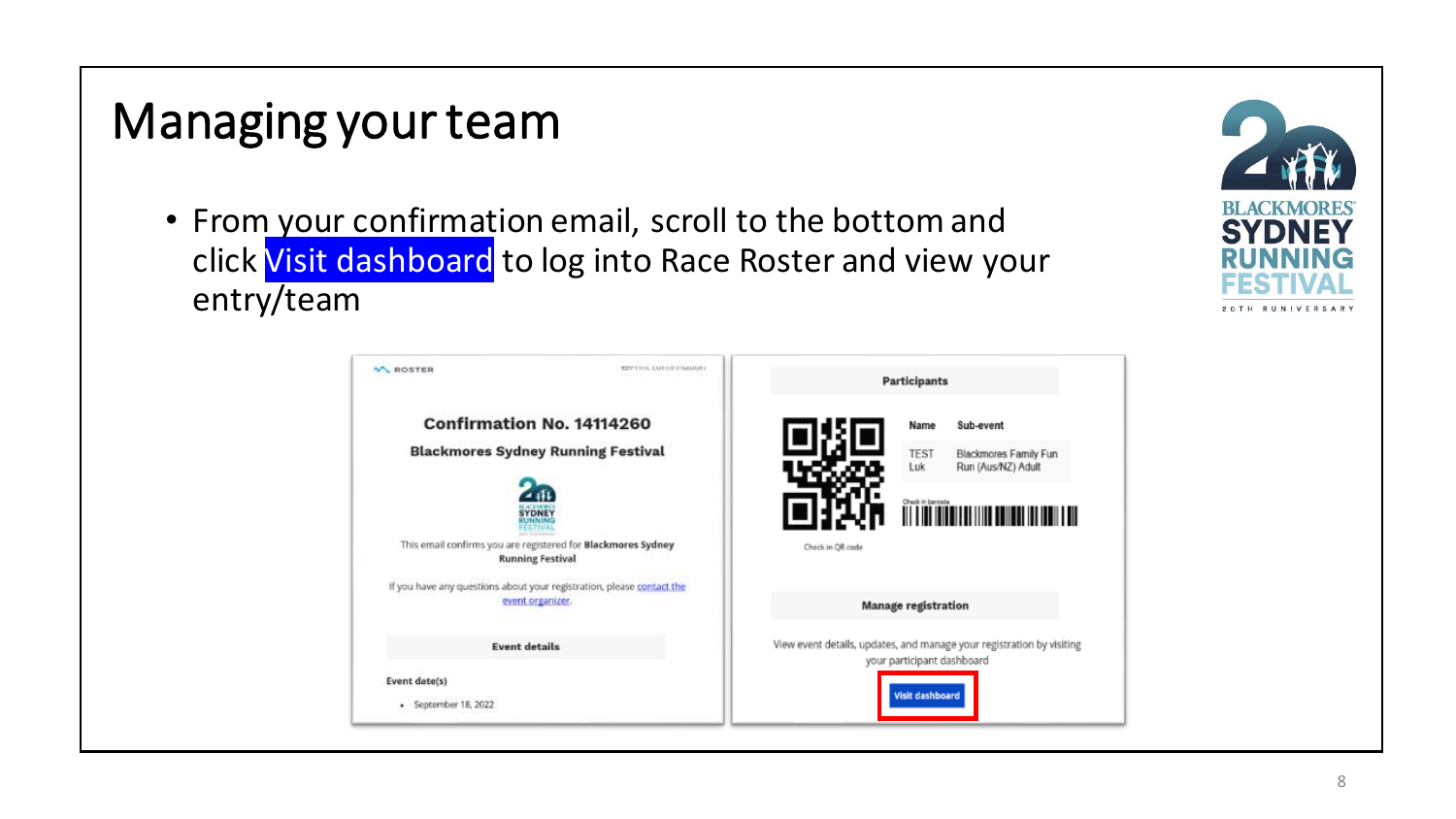# Managing your team

• From your confirmation email, scroll to the bottom and click Visit dashboard to log into Race Roster and view your entry/team

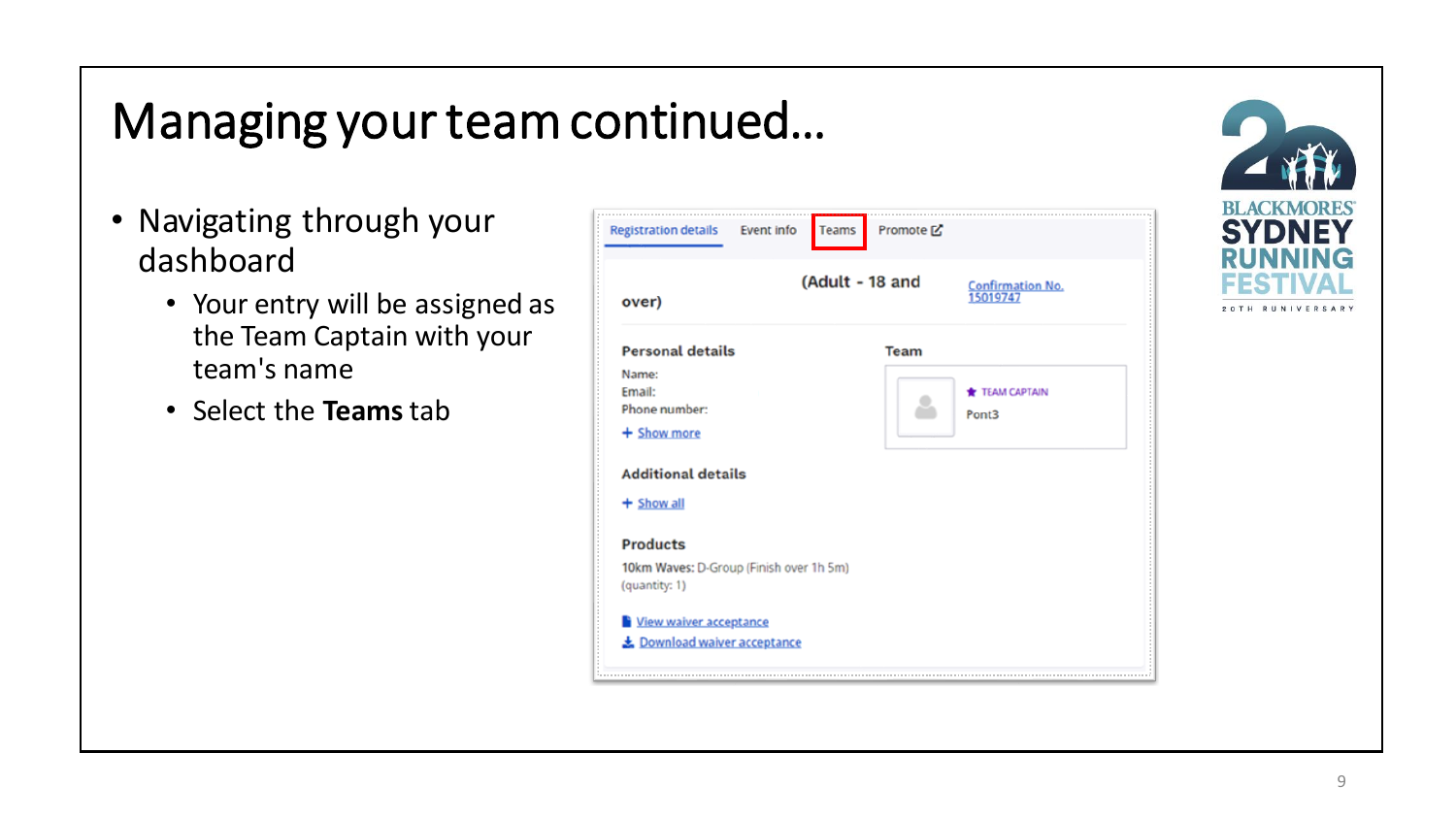# Managing your team continued…

- Navigating through your dashboard
	- Your entry will be assigned as the Team Captain with your team's name
	- Select the **Teams**tab

| over)                                                    | (Adult - 18 and<br><b>Confirmation No.</b><br>15019747 |  |
|----------------------------------------------------------|--------------------------------------------------------|--|
| <b>Personal details</b>                                  | <b>Team</b>                                            |  |
| Name:<br>Email:<br>Phone number:                         | TEAM CAPTAIN<br>Pont3                                  |  |
| + Show more                                              |                                                        |  |
| <b>Additional details</b>                                |                                                        |  |
| $+$ Show all                                             |                                                        |  |
| <b>Products</b>                                          |                                                        |  |
| 10km Waves: D-Group (Finish over 1h 5m)<br>(quantity: 1) |                                                        |  |
| <b>Niew waiver acceptance</b>                            |                                                        |  |